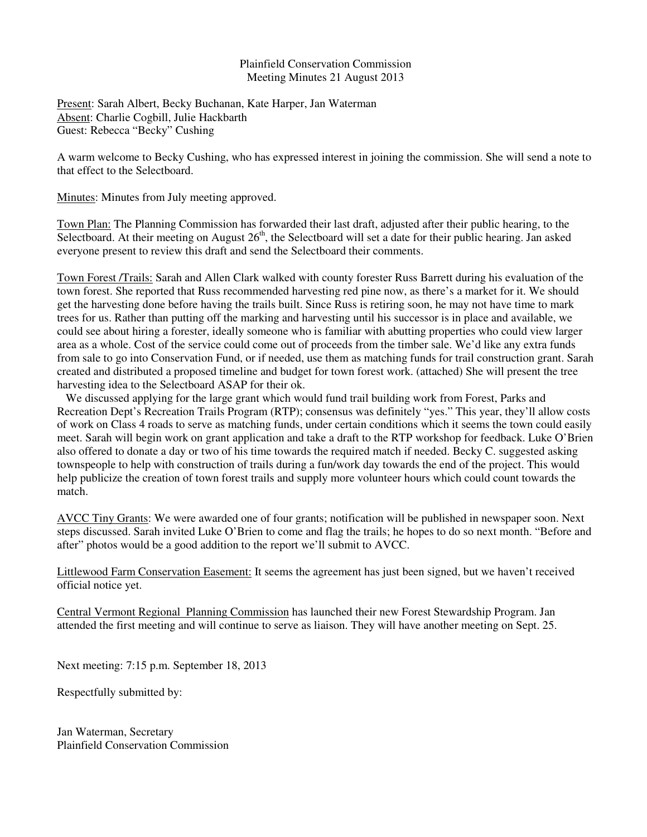## Plainfield Conservation Commission Meeting Minutes 21 August 2013

Present: Sarah Albert, Becky Buchanan, Kate Harper, Jan Waterman Absent: Charlie Cogbill, Julie Hackbarth Guest: Rebecca "Becky" Cushing

A warm welcome to Becky Cushing, who has expressed interest in joining the commission. She will send a note to that effect to the Selectboard.

Minutes: Minutes from July meeting approved.

Town Plan: The Planning Commission has forwarded their last draft, adjusted after their public hearing, to the Selectboard. At their meeting on August  $26<sup>th</sup>$ , the Selectboard will set a date for their public hearing. Jan asked everyone present to review this draft and send the Selectboard their comments.

Town Forest /Trails: Sarah and Allen Clark walked with county forester Russ Barrett during his evaluation of the town forest. She reported that Russ recommended harvesting red pine now, as there's a market for it. We should get the harvesting done before having the trails built. Since Russ is retiring soon, he may not have time to mark trees for us. Rather than putting off the marking and harvesting until his successor is in place and available, we could see about hiring a forester, ideally someone who is familiar with abutting properties who could view larger area as a whole. Cost of the service could come out of proceeds from the timber sale. We'd like any extra funds from sale to go into Conservation Fund, or if needed, use them as matching funds for trail construction grant. Sarah created and distributed a proposed timeline and budget for town forest work. (attached) She will present the tree harvesting idea to the Selectboard ASAP for their ok.

 We discussed applying for the large grant which would fund trail building work from Forest, Parks and Recreation Dept's Recreation Trails Program (RTP); consensus was definitely "yes." This year, they'll allow costs of work on Class 4 roads to serve as matching funds, under certain conditions which it seems the town could easily meet. Sarah will begin work on grant application and take a draft to the RTP workshop for feedback. Luke O'Brien also offered to donate a day or two of his time towards the required match if needed. Becky C. suggested asking townspeople to help with construction of trails during a fun/work day towards the end of the project. This would help publicize the creation of town forest trails and supply more volunteer hours which could count towards the match.

AVCC Tiny Grants: We were awarded one of four grants; notification will be published in newspaper soon. Next steps discussed. Sarah invited Luke O'Brien to come and flag the trails; he hopes to do so next month. "Before and after" photos would be a good addition to the report we'll submit to AVCC.

Littlewood Farm Conservation Easement: It seems the agreement has just been signed, but we haven't received official notice yet.

Central Vermont Regional Planning Commission has launched their new Forest Stewardship Program. Jan attended the first meeting and will continue to serve as liaison. They will have another meeting on Sept. 25.

Next meeting: 7:15 p.m. September 18, 2013

Respectfully submitted by:

Jan Waterman, Secretary Plainfield Conservation Commission